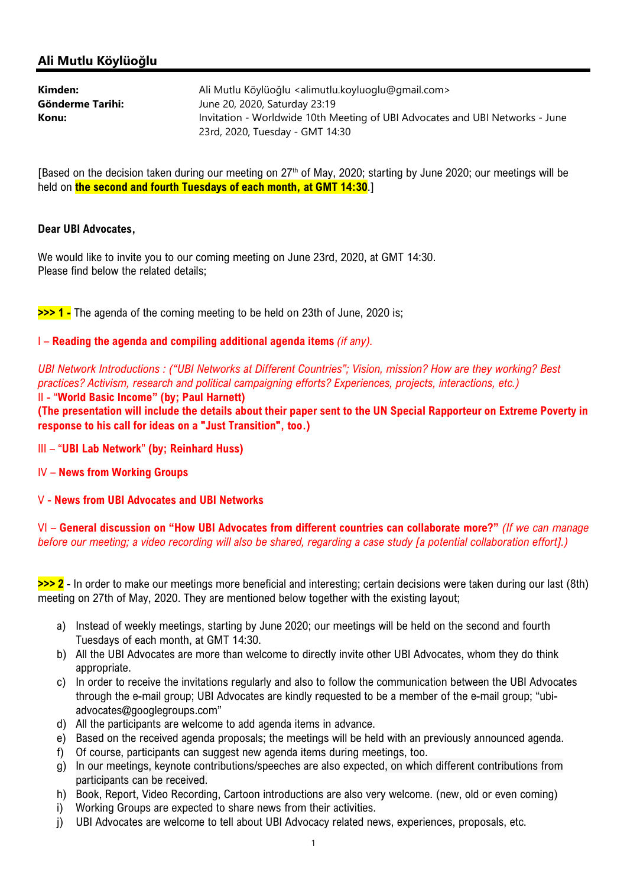# Ali Mutlu Köylüoğlu

| Kimden:          | Ali Mutlu Köylüoğlu <alimutlu.koyluoglu@gmail.com></alimutlu.koyluoglu@gmail.com> |
|------------------|-----------------------------------------------------------------------------------|
| Gönderme Tarihi: | June 20, 2020, Saturday 23:19                                                     |
| Konu:            | Invitation - Worldwide 10th Meeting of UBI Advocates and UBI Networks - June      |
|                  | 23rd, 2020, Tuesday - GMT 14:30                                                   |

[Based on the decision taken during our meeting on 27<sup>th</sup> of May, 2020; starting by June 2020; our meetings will be held on **the second and fourth Tuesdays of each month, at GMT 14:30.**]

#### Dear UBI Advocates,

We would like to invite you to our coming meeting on June 23rd, 2020, at GMT 14:30. Please find below the related details;

>>> 1 - The agenda of the coming meeting to be held on 23th of June, 2020 is;

#### I – Reading the agenda and compiling additional agenda items (if any).

UBI Network Introductions : ("UBI Networks at Different Countries"; Vision, mission? How are they working? Best practices? Activism, research and political campaigning efforts? Experiences, projects, interactions, etc.)

II - "World Basic Income" (by; Paul Harnett)

(The presentation will include the details about their paper sent to the UN Special Rapporteur on Extreme Poverty in response to his call for ideas on a "Just Transition", too.)

III – "UBI Lab Network" (by; Reinhard Huss)

IV – News from Working Groups

## V - News from UBI Advocates and UBI Networks

VI – General discussion on "How UBI Advocates from different countries can collaborate more?" (If we can manage before our meeting; a video recording will also be shared, regarding a case study [a potential collaboration effort].)

>>> 2 - In order to make our meetings more beneficial and interesting; certain decisions were taken during our last (8th) meeting on 27th of May, 2020. They are mentioned below together with the existing layout;

- a) Instead of weekly meetings, starting by June 2020; our meetings will be held on the second and fourth Tuesdays of each month, at GMT 14:30.
- b) All the UBI Advocates are more than welcome to directly invite other UBI Advocates, whom they do think appropriate.
- c) In order to receive the invitations regularly and also to follow the communication between the UBI Advocates through the e-mail group; UBI Advocates are kindly requested to be a member of the e-mail group; "ubiadvocates@googlegroups.com"
- d) All the participants are welcome to add agenda items in advance.
- e) Based on the received agenda proposals; the meetings will be held with an previously announced agenda.
- f) Of course, participants can suggest new agenda items during meetings, too.
- g) In our meetings, keynote contributions/speeches are also expected, on which different contributions from participants can be received.
- h) Book, Report, Video Recording, Cartoon introductions are also very welcome. (new, old or even coming)
- i) Working Groups are expected to share news from their activities.
- j) UBI Advocates are welcome to tell about UBI Advocacy related news, experiences, proposals, etc.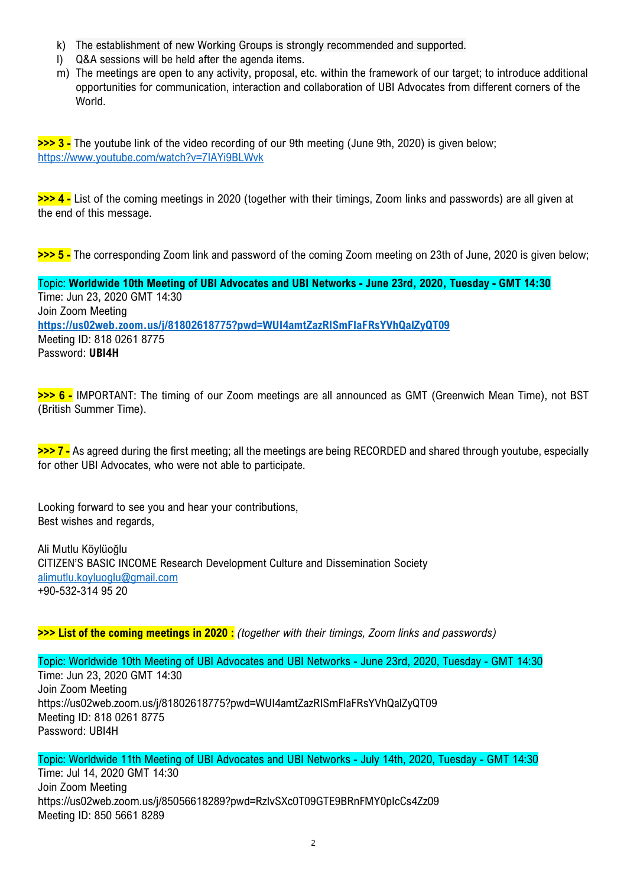- k) The establishment of new Working Groups is strongly recommended and supported.
- l) Q&A sessions will be held after the agenda items.
- m) The meetings are open to any activity, proposal, etc. within the framework of our target; to introduce additional opportunities for communication, interaction and collaboration of UBI Advocates from different corners of the World.

>>> 3 - The youtube link of the video recording of our 9th meeting (June 9th, 2020) is given below; https://www.youtube.com/watch?v=7IAYi9BLWvk

>>> 4 - List of the coming meetings in 2020 (together with their timings, Zoom links and passwords) are all given at the end of this message.

>>> 5 - The corresponding Zoom link and password of the coming Zoom meeting on 23th of June, 2020 is given below;

Topic: Worldwide 10th Meeting of UBI Advocates and UBI Networks - June 23rd, 2020, Tuesday - GMT 14:30 Time: Jun 23, 2020 GMT 14:30 Join Zoom Meeting https://us02web.zoom.us/j/81802618775?pwd=WUI4amtZazRISmFlaFRsYVhQalZyQT09 Meeting ID: 818 0261 8775 Password: UBI4H

>>> 6 - IMPORTANT: The timing of our Zoom meetings are all announced as GMT (Greenwich Mean Time), not BST (British Summer Time).

>>> 7 - As agreed during the first meeting; all the meetings are being RECORDED and shared through youtube, especially for other UBI Advocates, who were not able to participate.

Looking forward to see you and hear your contributions, Best wishes and regards,

Ali Mutlu Köylüoğlu CITIZEN'S BASIC INCOME Research Development Culture and Dissemination Society alimutlu.koyluoglu@gmail.com +90-532-314 95 20

>>> List of the coming meetings in 2020 : (together with their timings, Zoom links and passwords)

Topic: Worldwide 10th Meeting of UBI Advocates and UBI Networks - June 23rd, 2020, Tuesday - GMT 14:30 Time: Jun 23, 2020 GMT 14:30 Join Zoom Meeting https://us02web.zoom.us/j/81802618775?pwd=WUI4amtZazRISmFlaFRsYVhQalZyQT09 Meeting ID: 818 0261 8775 Password: UBI4H

Topic: Worldwide 11th Meeting of UBI Advocates and UBI Networks - July 14th, 2020, Tuesday - GMT 14:30 Time: Jul 14, 2020 GMT 14:30 Join Zoom Meeting https://us02web.zoom.us/j/85056618289?pwd=RzIvSXc0T09GTE9BRnFMY0pIcCs4Zz09 Meeting ID: 850 5661 8289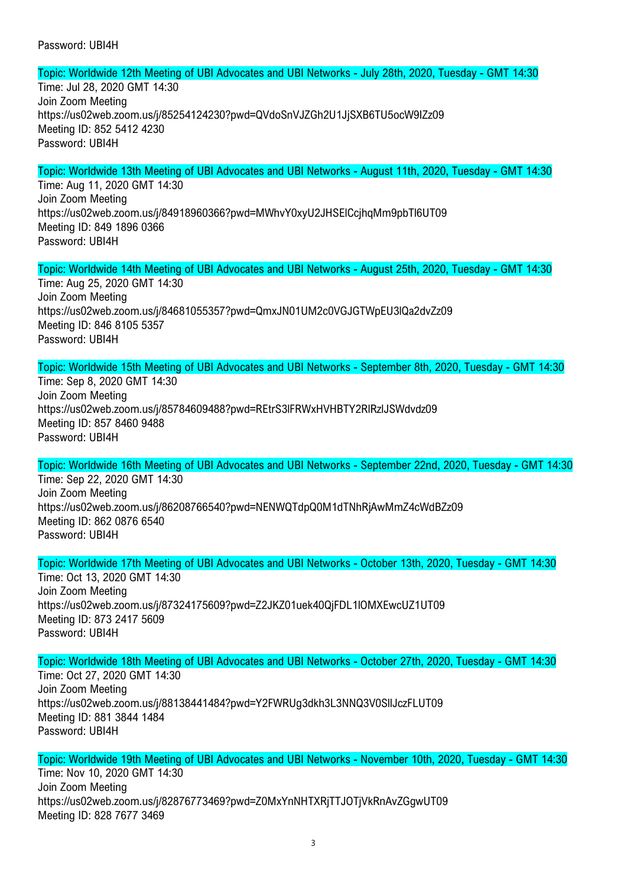#### Password: UBI4H

Topic: Worldwide 12th Meeting of UBI Advocates and UBI Networks - July 28th, 2020, Tuesday - GMT 14:30

Time: Jul 28, 2020 GMT 14:30 Join Zoom Meeting https://us02web.zoom.us/j/85254124230?pwd=QVdoSnVJZGh2U1JjSXB6TU5ocW9IZz09 Meeting ID: 852 5412 4230 Password: UBI4H

# Topic: Worldwide 13th Meeting of UBI Advocates and UBI Networks - August 11th, 2020, Tuesday - GMT 14:30

Time: Aug 11, 2020 GMT 14:30 Join Zoom Meeting https://us02web.zoom.us/j/84918960366?pwd=MWhvY0xyU2JHSElCcjhqMm9pbTl6UT09 Meeting ID: 849 1896 0366 Password: UBI4H

Topic: Worldwide 14th Meeting of UBI Advocates and UBI Networks - August 25th, 2020, Tuesday - GMT 14:30 Time: Aug 25, 2020 GMT 14:30 Join Zoom Meeting https://us02web.zoom.us/j/84681055357?pwd=QmxJN01UM2c0VGJGTWpEU3lQa2dvZz09 Meeting ID: 846 8105 5357 Password: UBI4H

Topic: Worldwide 15th Meeting of UBI Advocates and UBI Networks - September 8th, 2020, Tuesday - GMT 14:30

Time: Sep 8, 2020 GMT 14:30 Join Zoom Meeting https://us02web.zoom.us/j/85784609488?pwd=REtrS3lFRWxHVHBTY2RlRzlJSWdvdz09 Meeting ID: 857 8460 9488 Password: UBI4H

Topic: Worldwide 16th Meeting of UBI Advocates and UBI Networks - September 22nd, 2020, Tuesday - GMT 14:30 Time: Sep 22, 2020 GMT 14:30

Join Zoom Meeting https://us02web.zoom.us/j/86208766540?pwd=NENWQTdpQ0M1dTNhRjAwMmZ4cWdBZz09 Meeting ID: 862 0876 6540 Password: UBI4H

Topic: Worldwide 17th Meeting of UBI Advocates and UBI Networks - October 13th, 2020, Tuesday - GMT 14:30 Time: Oct 13, 2020 GMT 14:30 Join Zoom Meeting https://us02web.zoom.us/j/87324175609?pwd=Z2JKZ01uek40QjFDL1lOMXEwcUZ1UT09 Meeting ID: 873 2417 5609 Password: UBI4H

Topic: Worldwide 18th Meeting of UBI Advocates and UBI Networks - October 27th, 2020, Tuesday - GMT 14:30

Time: Oct 27, 2020 GMT 14:30 Join Zoom Meeting https://us02web.zoom.us/j/88138441484?pwd=Y2FWRUg3dkh3L3NNQ3V0SllJczFLUT09 Meeting ID: 881 3844 1484 Password: UBI4H

Topic: Worldwide 19th Meeting of UBI Advocates and UBI Networks - November 10th, 2020, Tuesday - GMT 14:30 Time: Nov 10, 2020 GMT 14:30 Join Zoom Meeting https://us02web.zoom.us/j/82876773469?pwd=Z0MxYnNHTXRjTTJOTjVkRnAvZGgwUT09 Meeting ID: 828 7677 3469